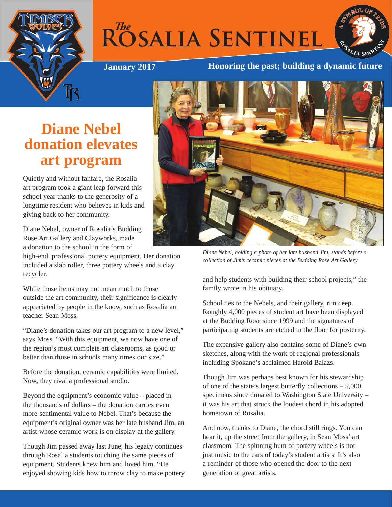



#### **January 2017 Honoring the past; building a dynamic future**

# **Diane Nebel donation elevates art program**

Quietly and without fanfare, the Rosalia art program took a giant leap forward this school year thanks to the generosity of a longtime resident who believes in kids and giving back to her community.

Diane Nebel, owner of Rosalia's Budding Rose Art Gallery and Clayworks, made a donation to the school in the form of

high-end, professional pottery equipment. Her donation included a slab roller, three pottery wheels and a clay recycler.

While those items may not mean much to those outside the art community, their significance is clearly appreciated by people in the know, such as Rosalia art teacher Sean Moss.

"Diane's donation takes our art program to a new level," says Moss. "With this equipment, we now have one of the region's most complete art classrooms, as good or better than those in schools many times our size."

Before the donation, ceramic capabilities were limited. Now, they rival a professional studio.

Beyond the equipment's economic value – placed in the thousands of dollars – the donation carries even more sentimental value to Nebel. That's because the equipment's original owner was her late husband Jim, an artist whose ceramic work is on display at the gallery.

Though Jim passed away last June, his legacy continues through Rosalia students touching the same pieces of equipment. Students knew him and loved him. "He enjoyed showing kids how to throw clay to make pottery



*Diane Nebel, holding a photo of her late husband Jim, stands before a collection of Jim's ceramic pieces at the Budding Rose Art Gallery.*

and help students with building their school projects," the family wrote in his obituary.

School ties to the Nebels, and their gallery, run deep. Roughly 4,000 pieces of student art have been displayed at the Budding Rose since 1999 and the signatures of participating students are etched in the floor for posterity.

The expansive gallery also contains some of Diane's own sketches, along with the work of regional professionals including Spokane's acclaimed Harold Balazs.

Though Jim was perhaps best known for his stewardship of one of the state's largest butterfly collections – 5,000 specimens since donated to Washington State University – it was his art that struck the loudest chord in his adopted hometown of Rosalia.

And now, thanks to Diane, the chord still rings. You can hear it, up the street from the gallery, in Sean Moss' art classroom. The spinning hum of pottery wheels is not just music to the ears of today's student artists. It's also a reminder of those who opened the door to the next generation of great artists.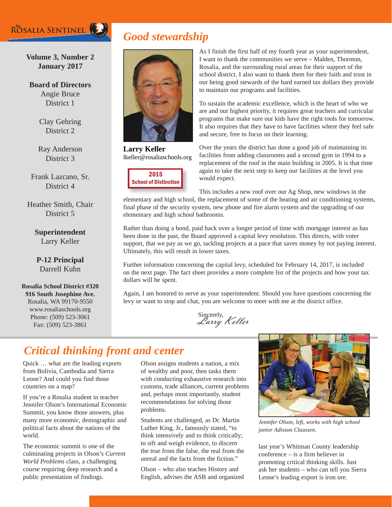## ROSALIA SENTINEL

# *Good stewardship*

**Volume 3, Number 2 January 2017**

**Board of Directors** Angie Bruce District 1

> Clay Gehring District 2

Ray Anderson District 3

Frank Lazcano, Sr. District 4

Heather Smith, Chair District 5

> **Superintendent** Larry Keller

**P-12 Principal** Darrell Kuhn

**Rosalia School District #320 916 South Josephine Ave.** Rosalia, WA 99170-9550 www.rosaliaschools.org Phone: (509) 523-3061 Fax: (509) 523-3861



**Larry Keller** lkeller@rosaliaschools.org



As I finish the first half of my fourth year as your superintendent, I want to thank the communities we serve – Malden, Thornton, Rosalia, and the surrounding rural areas for their support of the school district. I also want to thank them for their faith and trust in our being good stewards of the hard earned tax dollars they provide to maintain our programs and facilities.

To sustain the academic excellence, which is the heart of who we are and our highest priority, it requires great teachers and curricular programs that make sure our kids have the right tools for tomorrow. It also requires that they have to have facilities where they feel safe and secure, free to focus on their learning.

Over the years the district has done a good job of maintaining its facilities from adding classrooms and a second gym in 1994 to a replacement of the roof in the main building in 2005. It is that time again to take the next step to keep our facilities at the level you would expect.

This includes a new roof over our Ag Shop, new windows in the elementary and high school, the replacement of some of the heating and air conditioning systems, final phase of the security system, new phone and fire alarm system and the upgrading of our elementary and high school bathrooms.

Rather than doing a bond, paid back over a longer period of time with mortgage interest as has been done in the past, the Board approved a capital levy resolution. This directs, with voter support, that we pay as we go, tackling projects at a pace that saves money by not paying interest. Ultimately, this will result in lower taxes.

Further information concerning the capital levy, scheduled for February 14, 2017, is included on the next page. The fact sheet provides a more complete list of the projects and how your tax dollars will be spent.

Again, I am honored to serve as your superintendent. Should you have questions concerning the levy or want to stop and chat, you are welcome to meet with me at the district office.

Sincerely,<br>*Larry Keller* 

# *Critical thinking front and center*

Quick … what are the leading exports from Bolivia, Cambodia and Sierra Leone? And could you find those countries on a map?

If you're a Rosalia student in teacher Jennifer Olson's International Economic Summit, you know those answers, plus many more economic, demographic and political facts about the nations of the world.

The economic summit is one of the culminating projects in Olson's *Current World Problems* class, a challenging course requiring deep research and a public presentation of findings.

Olson assigns students a nation, a mix of wealthy and poor, then tasks them with conducting exhaustive research into customs, trade alliances, current problems and, perhaps most importantly, student recommendations for solving those problems.

Students are challenged, as Dr. Martin Luther King, Jr., famously stated, "to think intensively and to think critically; to sift and weigh evidence, to discern the true from the false, the real from the unreal and the facts from the fiction."

Olson – who also teaches History and English, advises the ASB and organized



*Jennifer Olson, left, works with high school junior Adisson Claussen.*

last year's Whitman County leadership conference – is a firm believer in promoting critical thinking skills. Just ask her students – who can tell you Sierra Leone's leading export is iron ore.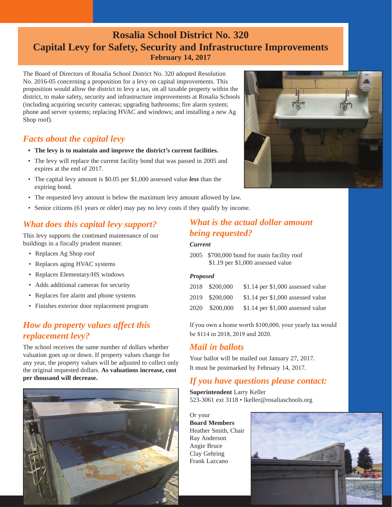## **Rosalia School District No. 320 Capital Levy for Safety, Security and Infrastructure Improvements February 14, 2017**

The Board of Directors of Rosalia School District No. 320 adopted Resolution No. 2016-05 concerning a proposition for a levy on capital improvements. This proposition would allow the district to levy a tax, on all taxable property within the district, to make safety, security and infrastructure improvements at Rosalia Schools (including acquiring security cameras; upgrading bathrooms; fire alarm system; phone and server systems; replacing HVAC and windows; and installing a new Ag Shop roof).

## *Facts about the capital levy*

- **• The levy is to maintain and improve the district's current facilities.**
- The levy will replace the current facility bond that was passed in 2005 and expires at the end of 2017.
- The capital levy amount is \$0.05 per \$1,000 assessed value *less* than the expiring bond.
- The requested levy amount is below the maximum levy amount allowed by law.
- Senior citizens (61 years or older) may pay no levy costs if they qualify by income.

## *What does this capital levy support?*

This levy supports the continued maintenance of our buildings in a fiscally prudent manner.

- Replaces Ag Shop roof
- Replaces aging HVAC systems
- Replaces Elementary/HS windows
- Adds additional cameras for security
- Replaces fire alarm and phone systems
- Finishes exterior door replacement program

## *How do property values affect this replacement levy?*

The school receives the same number of dollars whether valuation goes up or down. If property values change for any year, the property values will be adjusted to collect only the original requested dollars. **As valuations increase, cost per thousand will decrease.** 



#### *What is the actual dollar amount being requested?*

#### *Current*

2005 \$700,000 bond for main facility roof \$1.19 per \$1,000 assessed value

#### *Proposed*

|      | 2018 \$200,000 | \$1.14 per \$1,000 assessed value   |
|------|----------------|-------------------------------------|
|      | 2019 \$200,000 | $$1.14$ per $$1,000$ assessed value |
| 2020 | \$200,000      | $$1.14$ per $$1,000$ assessed value |

If you own a home worth \$100,000, your yearly tax would be \$114 in 2018, 2019 and 2020.

#### *Mail in ballots*

Your ballot will be mailed out January 27, 2017. It must be postmarked by February 14, 2017.

## *If you have questions please contact:*

**Superintendent** Larry Keller 523-3061 ext 3118 • lkeller@rosaliaschools.org

Or your **Board Members** Heather Smith, Chair Ray Anderson Angie Bruce Clay Gehring Frank Lazcano